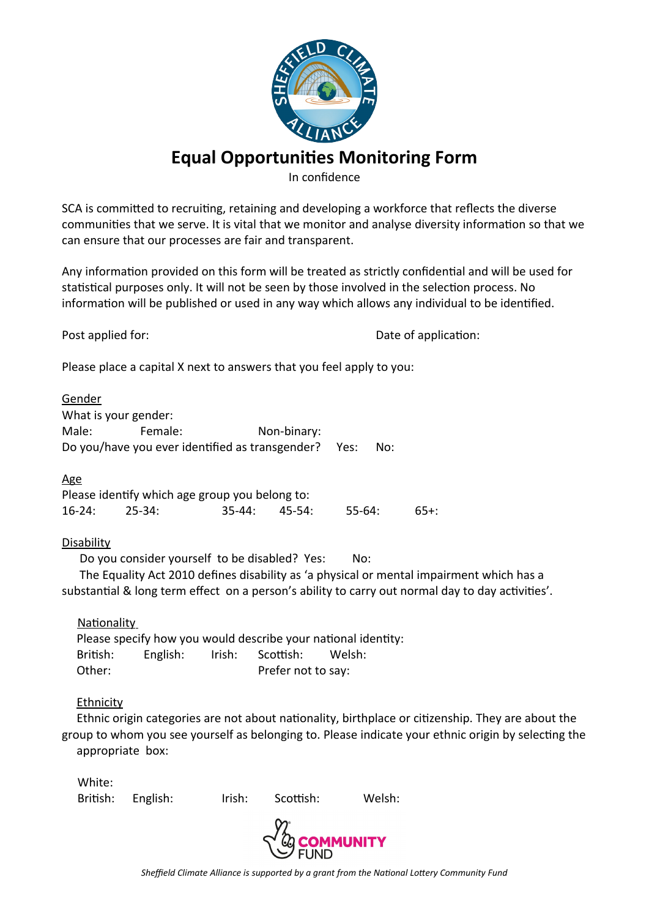

## **Equal Opportunities Monitoring Form**

In confidence

SCA is committed to recruiting, retaining and developing a workforce that reflects the diverse communities that we serve. It is vital that we monitor and analyse diversity information so that we can ensure that our processes are fair and transparent.

Any information provided on this form will be treated as strictly confidential and will be used for statistical purposes only. It will not be seen by those involved in the selection process. No information will be published or used in any way which allows any individual to be identified.

Post applied for:  $\qquad \qquad$  Date of application:

Please place a capital X next to answers that you feel apply to you:

Gender What is your gender: Male: Female: Non-binary: Do you/have you ever identified as transgender? Yes: No:

Age

Please identify which age group you belong to: 16-24: 25-34: 35-44: 45-54: 55-64: 65+:

## Disability

Do you consider yourself to be disabled? Yes: No:

 The Equality Act 2010 defines disability as 'a physical or mental impairment which has a substantial & long term effect on a person's ability to carry out normal day to day activities'.

Nationality

 Please specify how you would describe your national identity: British: English: Irish: Scottish: Welsh: Other: Prefer not to say:

## Ethnicity

White:

 Ethnic origin categories are not about nationality, birthplace or citizenship. They are about the group to whom you see yourself as belonging to. Please indicate your ethnic origin by selecting the appropriate box:

| vvnile: |                   |        |           |        |
|---------|-------------------|--------|-----------|--------|
|         | British: English: | Irish: | Scottish: | Welsh: |
|         |                   |        |           |        |